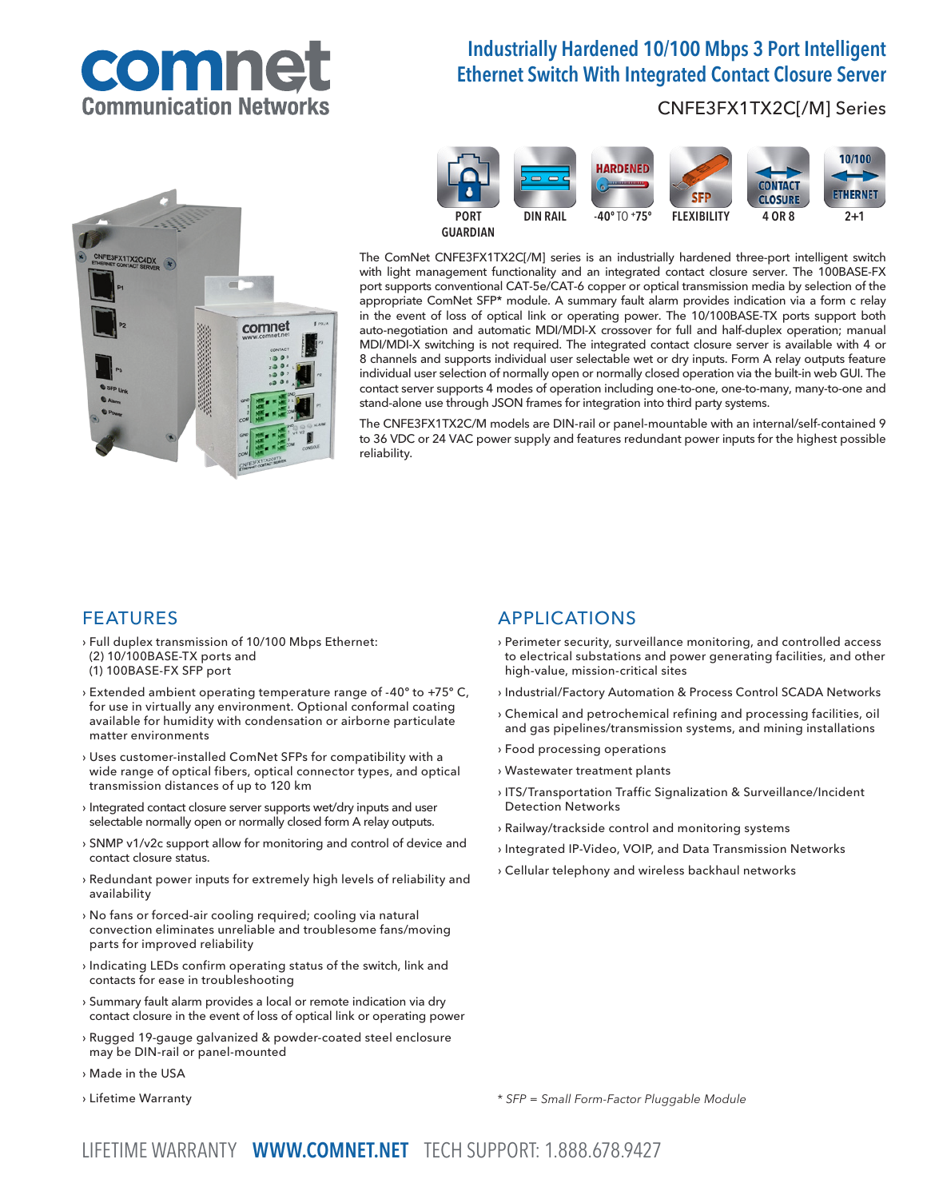# comne **Imunication Networt**

# Industrially Hardened 10/100 Mbps 3 Port Intelligent Ethernet Switch With Integrated Contact Closure Server

# CNFE3FX1TX2C[/M] Series





The ComNet CNFE3FX1TX2C[/M] series is an industrially hardened three-port intelligent switch with light management functionality and an integrated contact closure server. The 100BASE-FX port supports conventional CAT-5e/CAT-6 copper or optical transmission media by selection of the appropriate ComNet SFP\* module. A summary fault alarm provides indication via a form c relay in the event of loss of optical link or operating power. The 10/100BASE-TX ports support both auto-negotiation and automatic MDI/MDI-X crossover for full and half-duplex operation; manual MDI/MDI-X switching is not required. The integrated contact closure server is available with 4 or 8 channels and supports individual user selectable wet or dry inputs. Form A relay outputs feature individual user selection of normally open or normally closed operation via the built-in web GUI. The contact server supports 4 modes of operation including one-to-one, one-to-many, many-to-one and stand-alone use through JSON frames for integration into third party systems.

The CNFE3FX1TX2C/M models are DIN-rail or panel-mountable with an internal/self-contained 9 to 36 VDC or 24 VAC power supply and features redundant power inputs for the highest possible reliability.

### FEATURES

- › Full duplex transmission of 10/100 Mbps Ethernet: (2) 10/100BASE-TX ports and
- (1) 100BASE-FX SFP port
- › Extended ambient operating temperature range of -40º to +75º C, for use in virtually any environment. Optional conformal coating available for humidity with condensation or airborne particulate matter environments
- › Uses customer-installed ComNet SFPs for compatibility with a wide range of optical fibers, optical connector types, and optical transmission distances of up to 120 km
- › Integrated contact closure server supports wet/dry inputs and user selectable normally open or normally closed form A relay outputs.
- › SNMP v1/v2c support allow for monitoring and control of device and contact closure status.
- › Redundant power inputs for extremely high levels of reliability and availability
- › No fans or forced-air cooling required; cooling via natural convection eliminates unreliable and troublesome fans/moving parts for improved reliability
- › Indicating LEDs confirm operating status of the switch, link and contacts for ease in troubleshooting
- › Summary fault alarm provides a local or remote indication via dry contact closure in the event of loss of optical link or operating power
- › Rugged 19-gauge galvanized & powder-coated steel enclosure may be DIN-rail or panel-mounted
- › Made in the USA
- › Lifetime Warranty

# APPLICATIONS

- › Perimeter security, surveillance monitoring, and controlled access to electrical substations and power generating facilities, and other high-value, mission-critical sites
- › Industrial/Factory Automation & Process Control SCADA Networks
- › Chemical and petrochemical refining and processing facilities, oil and gas pipelines/transmission systems, and mining installations
- › Food processing operations
- › Wastewater treatment plants
- › ITS/Transportation Traffic Signalization & Surveillance/Incident Detection Networks
- › Railway/trackside control and monitoring systems
- › Integrated IP-Video, VOIP, and Data Transmission Networks
- › Cellular telephony and wireless backhaul networks

\* SFP = Small Form-Factor Pluggable Module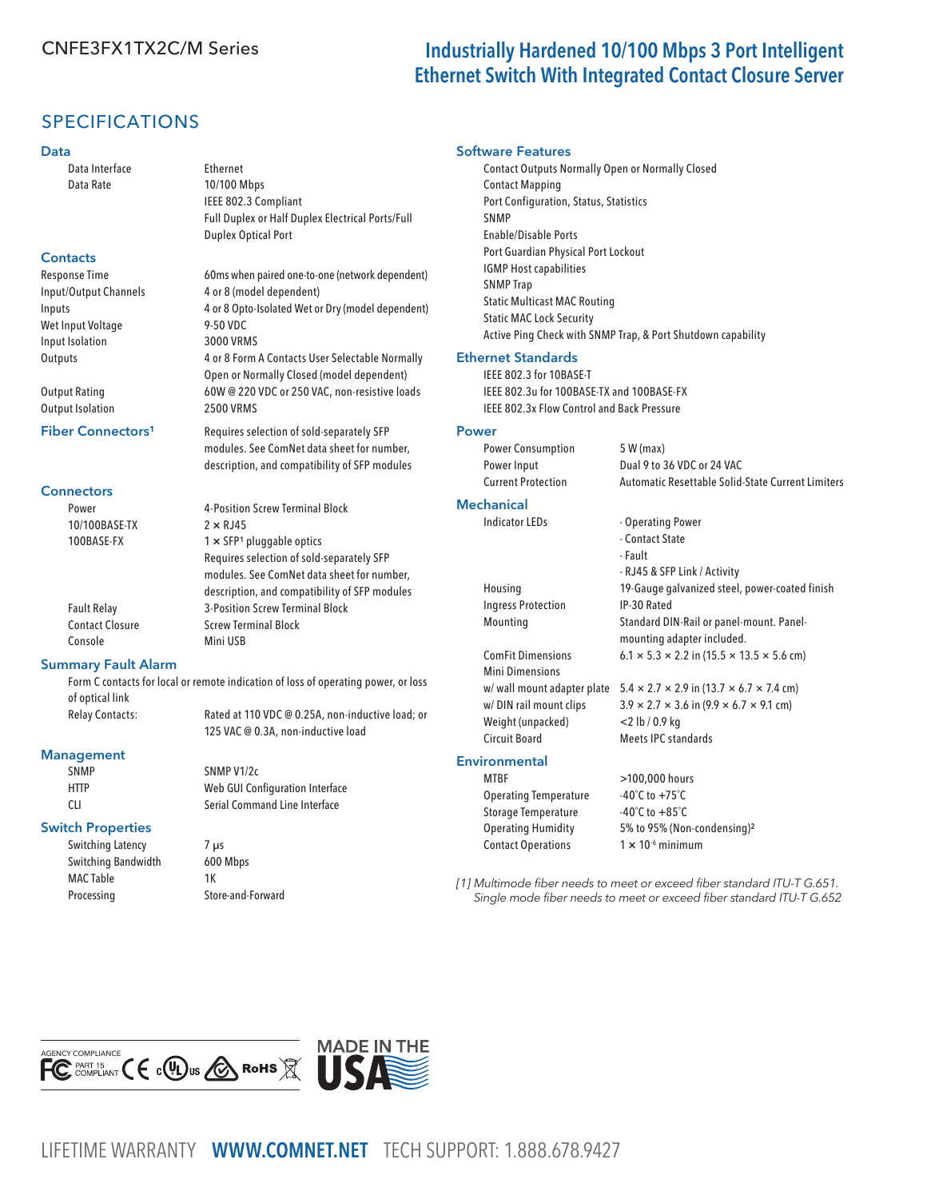# CNFE3FX1TX2C/M Series **Industrially Hardened 10/100 Mbps 3 Port Intelligent** Ethernet Switch With Integrated Contact Closure Server

# SPECIFICATIONS

#### Data

Data Interface Ethernet Data Rate 10/100 Mbps

#### **Contacts**

Response Time 60ms when paired one-to-one (network dependent) Input/Output Channels 4 or 8 (model dependent) Inputs 4 or 8 Opto-Isolated Wet or Dry (model dependent) Wet Input Voltage 9-50 VDC Input Isolation 3000 VRMS Outputs 4 or 8 Form A Contacts User Selectable Normally

Output Rating 60W @ 220 VDC or 250 VAC, non-resistive loads Output Isolation 2500 VRMS

#### Fiber Connectors<sup>1</sup> Requires selection of sold-separately SFP

**Connectors** 

Power **4-Position Screw Terminal Block** 10/100BASE-TX 2 × RJ45 100BASE-FX  $1 \times$  SFP<sup>1</sup> pluggable optics Requires selection of sold-separately SFP modules. See ComNet data sheet for number, description, and compatibility of SFP modules Fault Relay 3-Position Screw Terminal Block Contact Closure Screw Terminal Block Console Mini USB

IEEE 802.3 Compliant

Duplex Optical Port

Full Duplex or Half Duplex Electrical Ports/Full

Open or Normally Closed (model dependent)

modules. See ComNet data sheet for number, description, and compatibility of SFP modules

#### Summary Fault Alarm

 Form C contacts for local or remote indication of loss of operating power, or loss of optical link

Relay Contacts: Rated at 110 VDC @ 0.25A, non-inductive load; or 125 VAC @ 0.3A, non-inductive load

#### Management

SNMP SNMP V1/2c

#### Switch Properties

Switching Latency 7 µs Switching Bandwidth 600 Mbps MAC Table 1K Processing Store-and-Forward



#### Software Features

Contact Outputs Normally Open or Normally Closed Contact Mapping Port Configuration, Status, Statistics **SNMP** Enable/Disable Ports Port Guardian Physical Port Lockout IGMP Host capabilities SNMP Trap Static Multicast MAC Routing Static MAC Lock Security Active Ping Check with SNMP Trap, & Port Shutdown capability

#### Ethernet Standards

IEEE 802.3 for 10BASE-T IEEE 802.3u for 100BASE-TX and 100BASE-FX IEEE 802.3x Flow Control and Back Pressure

#### Power

| <b>Power Consumption</b>  | 5 W (max)                                         |
|---------------------------|---------------------------------------------------|
| Power Input               | Dual 9 to 36 VDC or 24 VAC                        |
| <b>Current Protection</b> | Automatic Resettable Solid-State Current Limiters |

- Contact State - Fault

- RJ45 & SFP Link / Activity

mounting adapter included.

#### Mechanical

Indicator LEDs - Operating Power

- Housing 19-Gauge galvanized steel, power-coated finish Ingress Protection IP-30 Rated Mounting Standard DIN-Rail or panel-mount. Panel-
- ComFit Dimensions  $6.1 \times 5.3 \times 2.2$  in  $(15.5 \times 13.5 \times 5.6$  cm) Mini Dimensions Weight (unpacked) <2 lb / 0.9 kg Circuit Board Meets IPC standards

#### **Environmental**

MTBF >100,000 hours Operating Temperature -40°C to +75°C Storage Temperature -40°C to +85°C Contact Operations 1 × 10<sup>-6</sup> minimum

w/ wall mount adapter plate  $5.4 \times 2.7 \times 2.9$  in (13.7  $\times$  6.7  $\times$  7.4 cm) w/ DIN rail mount clips  $3.9 \times 2.7 \times 3.6$  in (9.9  $\times$  6.7  $\times$  9.1 cm)

# Operating Humidity 5% to 95% (Non-condensing)²

[1] Multimode fiber needs to meet or exceed fiber standard ITU-T G.651. Single mode fiber needs to meet or exceed fiber standard ITU-T G.652



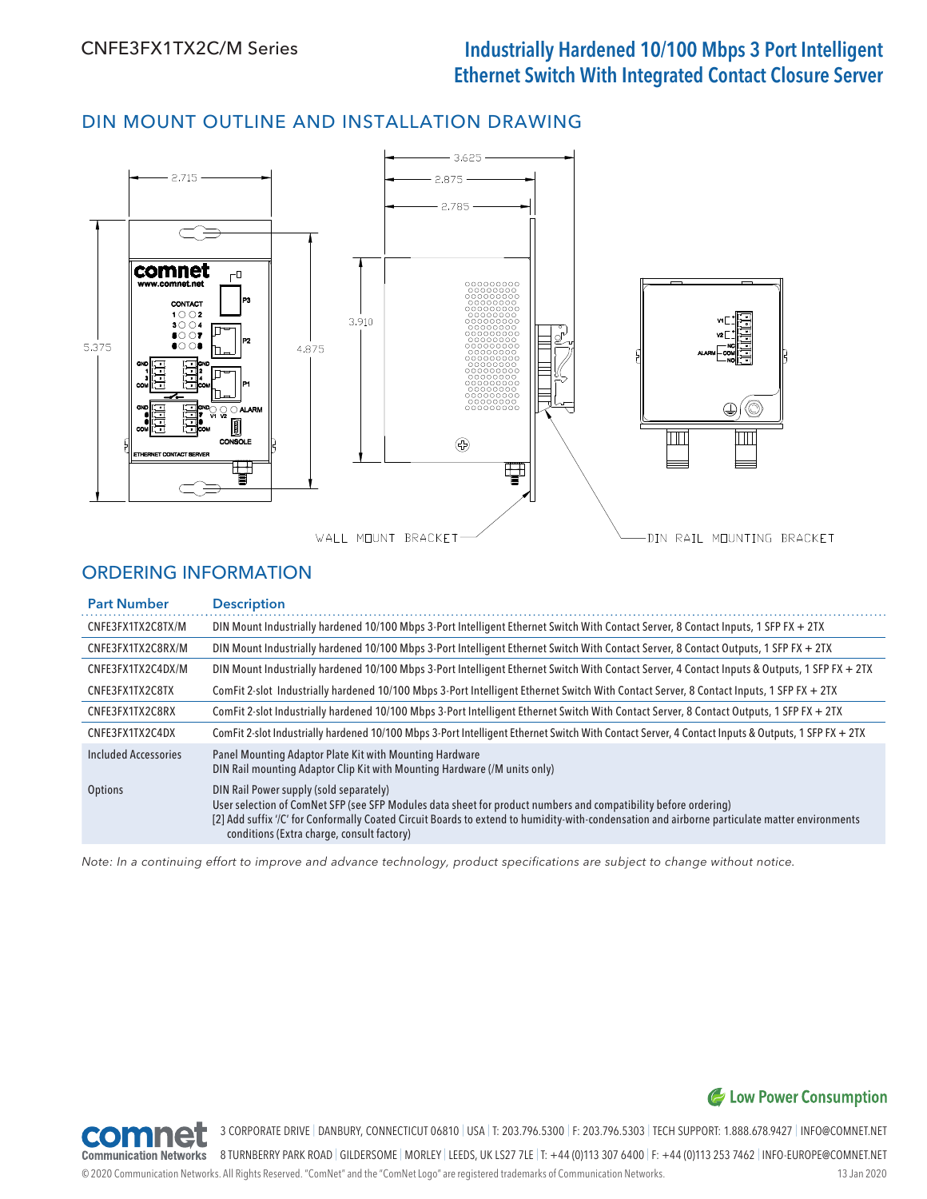# DIN MOUNT OUTLINE AND INSTALLATION DRAWING



# ORDERING INFORMATION

| <b>Part Number</b>   | <b>Description</b>                                                                                                                                                                                                                                                                                                                                         |  |
|----------------------|------------------------------------------------------------------------------------------------------------------------------------------------------------------------------------------------------------------------------------------------------------------------------------------------------------------------------------------------------------|--|
| CNFE3FX1TX2C8TX/M    | DIN Mount Industrially hardened 10/100 Mbps 3-Port Intelligent Ethernet Switch With Contact Server, 8 Contact Inputs, 1 SFP FX + 2TX                                                                                                                                                                                                                       |  |
| CNFE3FX1TX2C8RX/M    | DIN Mount Industrially hardened 10/100 Mbps 3-Port Intelligent Ethernet Switch With Contact Server, 8 Contact Outputs, 1 SFP FX + 2TX                                                                                                                                                                                                                      |  |
| CNFE3FX1TX2C4DX/M    | DIN Mount Industrially hardened 10/100 Mbps 3-Port Intelligent Ethernet Switch With Contact Server, 4 Contact Inputs & Outputs, 1 SFP FX + 2TX                                                                                                                                                                                                             |  |
| CNFE3FX1TX2C8TX      | ComFit 2-slot Industrially hardened 10/100 Mbps 3-Port Intelligent Ethernet Switch With Contact Server, 8 Contact Inputs, 1 SFP FX + 2TX                                                                                                                                                                                                                   |  |
| CNFE3FX1TX2C8RX      | ComFit 2-slot Industrially hardened 10/100 Mbps 3-Port Intelligent Ethernet Switch With Contact Server, 8 Contact Outputs, 1 SFP FX + 2TX                                                                                                                                                                                                                  |  |
| CNFE3FX1TX2C4DX      | ComFit 2-slot Industrially hardened 10/100 Mbps 3-Port Intelligent Ethernet Switch With Contact Server, 4 Contact Inputs & Outputs, 1 SFP FX + 2TX                                                                                                                                                                                                         |  |
| Included Accessories | Panel Mounting Adaptor Plate Kit with Mounting Hardware<br>DIN Rail mounting Adaptor Clip Kit with Mounting Hardware (/M units only)                                                                                                                                                                                                                       |  |
| <b>Options</b>       | DIN Rail Power supply (sold separately)<br>User selection of ComNet SFP (see SFP Modules data sheet for product numbers and compatibility before ordering)<br>[2] Add suffix '/C' for Conformally Coated Circuit Boards to extend to humidity-with-condensation and airborne particulate matter environments<br>conditions (Extra charge, consult factory) |  |

Note: In a continuing effort to improve and advance technology, product specifications are subject to change without notice.

# C Low Power Consumption



3 CORPORATE DRIVE | DANBURY, CONNECTICUT 06810 | USA | T: 203.796.5300 | F: 203.796.5303 | TECH SUPPORT: 1.888.678.9427 | INFO@COMNET.NET

© 2020 Communication Networks. All Rights Reserved. "ComNet" and the "ComNet Logo" are registered trademarks of Communication Networks. 13 Jan 2020 8 TURNBERRY PARK ROAD | GILDERSOME | MORLEY | LEEDS, UK LS27 7LE | T: +44 (0)113 307 6400 | F: +44 (0)113 253 7462 | INFO-EUROPE@COMNET.NET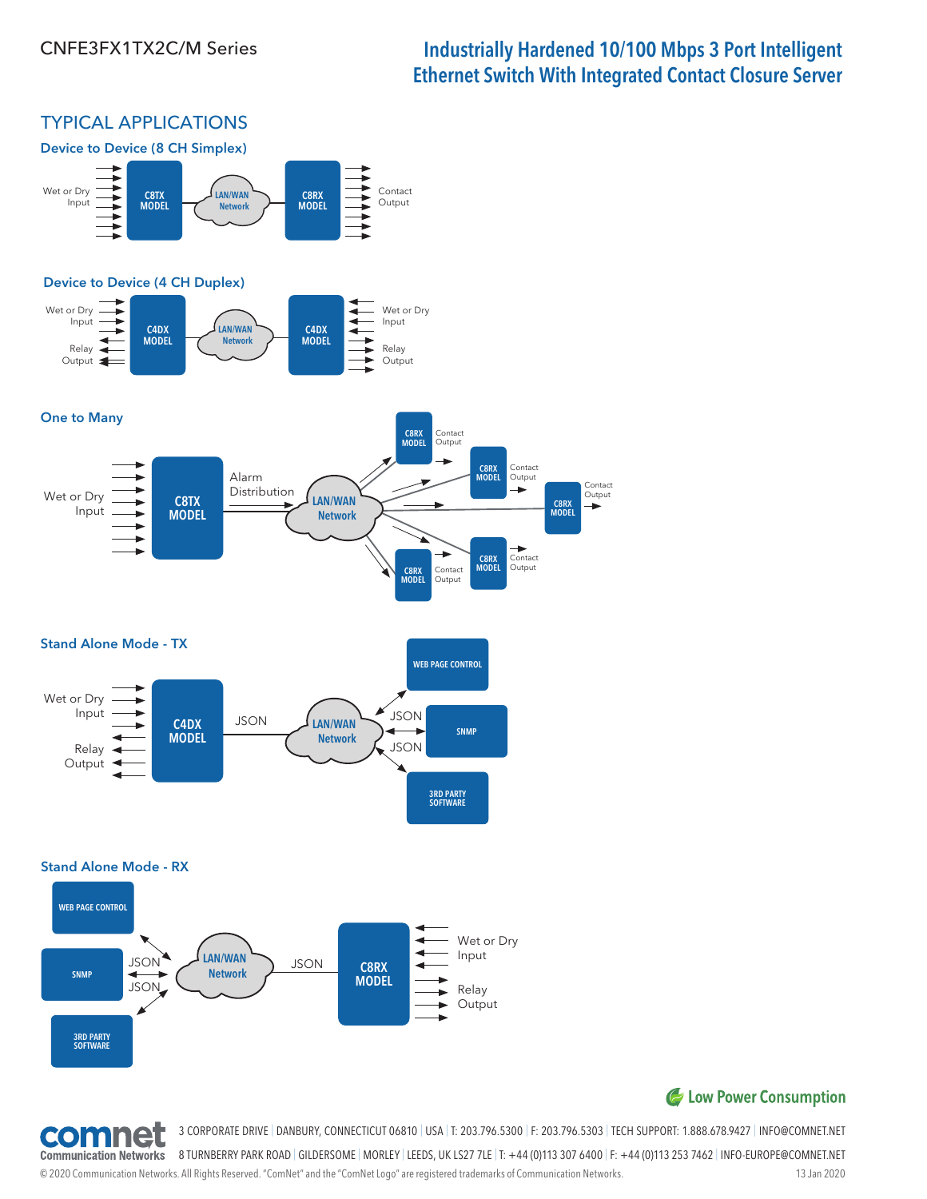# CNFE3FX1TX2C/M Series **Industrially Hardened 10/100 Mbps 3 Port Intelligent** Ethernet Switch With Integrated Contact Closure Server

C8RX MODEL

Contact Output

 $\overline{\phantom{a}}$ 

# TYPICAL APPLICATIONS



## C Low Power Consumption



3 CORPORATE DRIVE | DANBURY, CONNECTICUT 06810 | USA | T: 203.796.5300 | F: 203.796.5303 | TECH SUPPORT: 1.888.678.9427 | INFO@COMNET.NET

8 TURNBERRY PARK ROAD | GILDERSOME | MORLEY | LEEDS, UK LS27 7LE | T: +44 (0)113 307 6400 | F: +44 (0)113 253 7462 | INFO-EUROPE@COMNET.NET **Communication Networks** 

© 2020 Communication Networks. All Rights Reserved. "ComNet" and the "ComNet Logo" are registered trademarks of Communication Networks. 13 Jan 2020